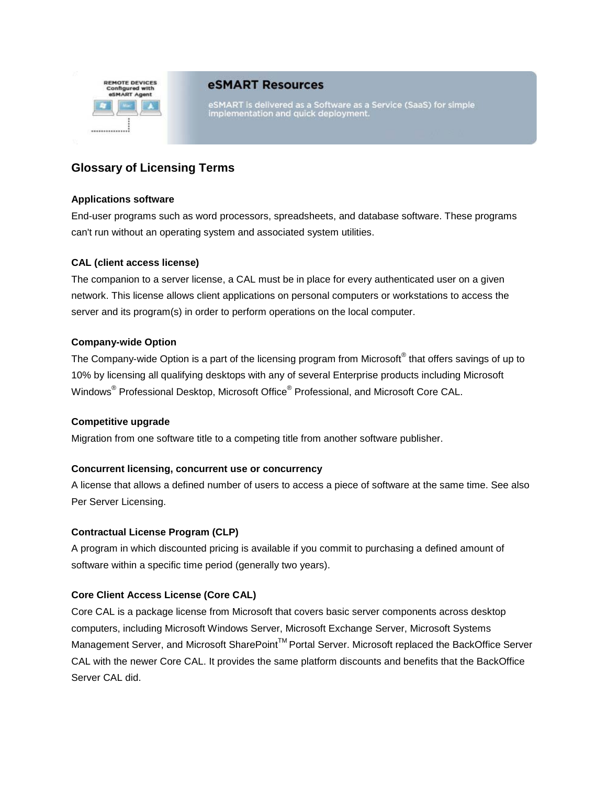

# eSMART Resources

eSMART is delivered as a Software as a Service (SaaS) for simple<br>implementation and quick deployment.

# **Glossary of Licensing Terms**

## **Applications software**

End-user programs such as word processors, spreadsheets, and database software. These programs can't run without an operating system and associated system utilities.

### **CAL (client access license)**

The companion to a server license, a CAL must be in place for every authenticated user on a given network. This license allows client applications on personal computers or workstations to access the server and its program(s) in order to perform operations on the local computer.

### **Company-wide Option**

The Company-wide Option is a part of the licensing program from Microsoft<sup>®</sup> that offers savings of up to 10% by licensing all qualifying desktops with any of several Enterprise products including Microsoft Windows® Professional Desktop, Microsoft Office® Professional, and Microsoft Core CAL.

#### **Competitive upgrade**

Migration from one software title to a competing title from another software publisher.

# **Concurrent licensing, concurrent use or concurrency**

A license that allows a defined number of users to access a piece of software at the same time. See also Per Server Licensing.

### **Contractual License Program (CLP)**

A program in which discounted pricing is available if you commit to purchasing a defined amount of software within a specific time period (generally two years).

# **Core Client Access License (Core CAL)**

Core CAL is a package license from Microsoft that covers basic server components across desktop computers, including Microsoft Windows Server, Microsoft Exchange Server, Microsoft Systems Management Server, and Microsoft SharePoint™ Portal Server. Microsoft replaced the BackOffice Server CAL with the newer Core CAL. It provides the same platform discounts and benefits that the BackOffice Server CAL did.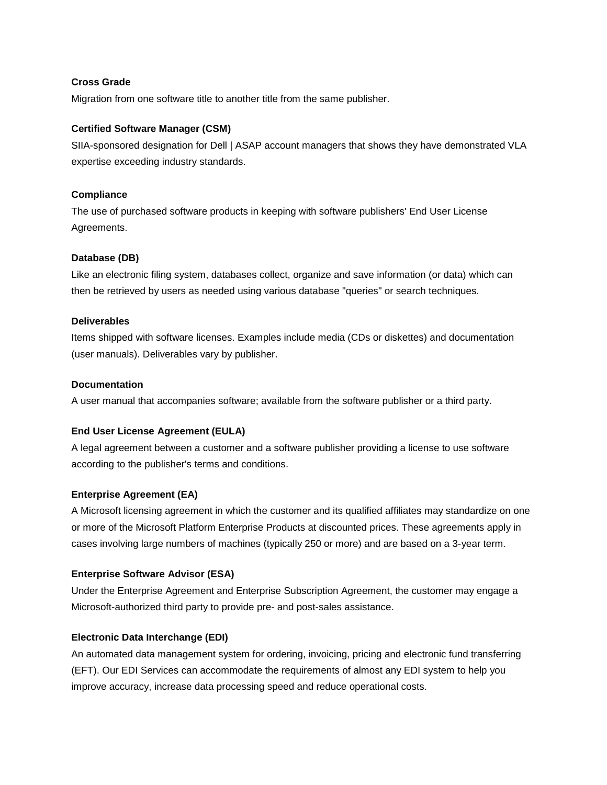# **Cross Grade**

Migration from one software title to another title from the same publisher.

### **Certified Software Manager (CSM)**

SIIA-sponsored designation for Dell | ASAP account managers that shows they have demonstrated VLA expertise exceeding industry standards.

#### **Compliance**

The use of purchased software products in keeping with software publishers' End User License Agreements.

### **Database (DB)**

Like an electronic filing system, databases collect, organize and save information (or data) which can then be retrieved by users as needed using various database "queries" or search techniques.

### **Deliverables**

Items shipped with software licenses. Examples include media (CDs or diskettes) and documentation (user manuals). Deliverables vary by publisher.

### **Documentation**

A user manual that accompanies software; available from the software publisher or a third party.

# **End User License Agreement (EULA)**

A legal agreement between a customer and a software publisher providing a license to use software according to the publisher's terms and conditions.

#### **Enterprise Agreement (EA)**

A Microsoft licensing agreement in which the customer and its qualified affiliates may standardize on one or more of the Microsoft Platform Enterprise Products at discounted prices. These agreements apply in cases involving large numbers of machines (typically 250 or more) and are based on a 3-year term.

#### **Enterprise Software Advisor (ESA)**

Under the Enterprise Agreement and Enterprise Subscription Agreement, the customer may engage a Microsoft-authorized third party to provide pre- and post-sales assistance.

# **Electronic Data Interchange (EDI)**

An automated data management system for ordering, invoicing, pricing and electronic fund transferring (EFT). Our EDI Services can accommodate the requirements of almost any EDI system to help you improve accuracy, increase data processing speed and reduce operational costs.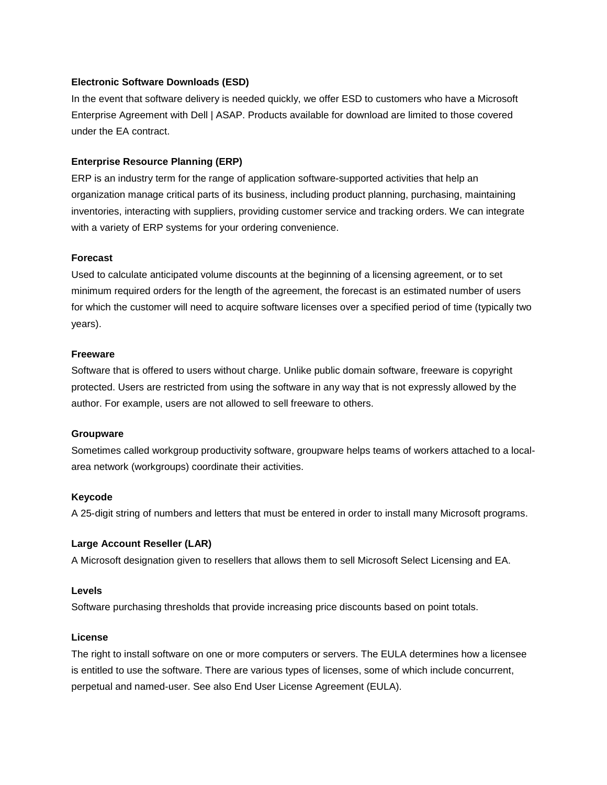### **Electronic Software Downloads (ESD)**

In the event that software delivery is needed quickly, we offer ESD to customers who have a Microsoft Enterprise Agreement with Dell | ASAP. Products available for download are limited to those covered under the EA contract.

## **Enterprise Resource Planning (ERP)**

ERP is an industry term for the range of application software-supported activities that help an organization manage critical parts of its business, including product planning, purchasing, maintaining inventories, interacting with suppliers, providing customer service and tracking orders. We can integrate with a variety of ERP systems for your ordering convenience.

#### **Forecast**

Used to calculate anticipated volume discounts at the beginning of a licensing agreement, or to set minimum required orders for the length of the agreement, the forecast is an estimated number of users for which the customer will need to acquire software licenses over a specified period of time (typically two years).

#### **Freeware**

Software that is offered to users without charge. Unlike public domain software, freeware is copyright protected. Users are restricted from using the software in any way that is not expressly allowed by the author. For example, users are not allowed to sell freeware to others.

#### **Groupware**

Sometimes called workgroup productivity software, groupware helps teams of workers attached to a localarea network (workgroups) coordinate their activities.

#### **Keycode**

A 25-digit string of numbers and letters that must be entered in order to install many Microsoft programs.

#### **Large Account Reseller (LAR)**

A Microsoft designation given to resellers that allows them to sell Microsoft Select Licensing and EA.

#### **Levels**

Software purchasing thresholds that provide increasing price discounts based on point totals.

#### **License**

The right to install software on one or more computers or servers. The EULA determines how a licensee is entitled to use the software. There are various types of licenses, some of which include concurrent, perpetual and named-user. See also End User License Agreement (EULA).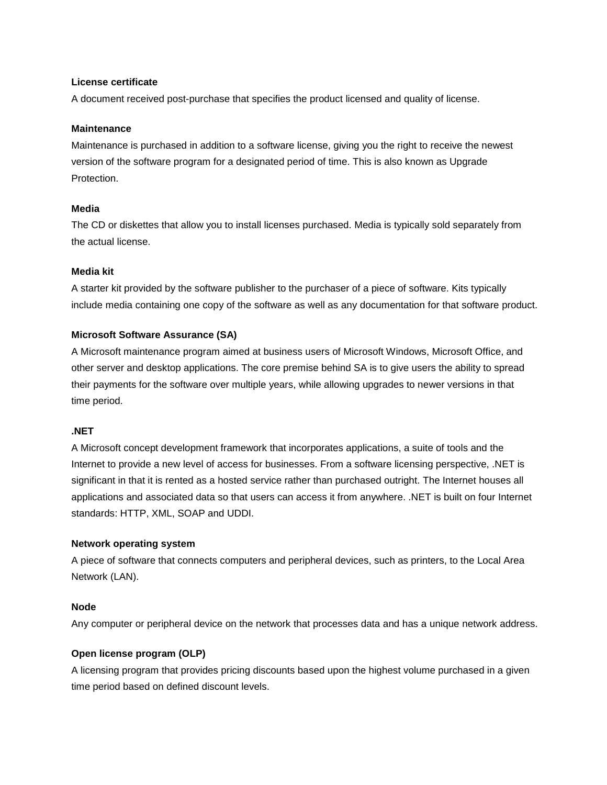## **License certificate**

A document received post-purchase that specifies the product licensed and quality of license.

#### **Maintenance**

Maintenance is purchased in addition to a software license, giving you the right to receive the newest version of the software program for a designated period of time. This is also known as Upgrade Protection.

### **Media**

The CD or diskettes that allow you to install licenses purchased. Media is typically sold separately from the actual license.

### **Media kit**

A starter kit provided by the software publisher to the purchaser of a piece of software. Kits typically include media containing one copy of the software as well as any documentation for that software product.

### **Microsoft Software Assurance (SA)**

A Microsoft maintenance program aimed at business users of Microsoft Windows, Microsoft Office, and other server and desktop applications. The core premise behind SA is to give users the ability to spread their payments for the software over multiple years, while allowing upgrades to newer versions in that time period.

# **.NET**

A Microsoft concept development framework that incorporates applications, a suite of tools and the Internet to provide a new level of access for businesses. From a software licensing perspective, .NET is significant in that it is rented as a hosted service rather than purchased outright. The Internet houses all applications and associated data so that users can access it from anywhere. .NET is built on four Internet standards: HTTP, XML, SOAP and UDDI.

#### **Network operating system**

A piece of software that connects computers and peripheral devices, such as printers, to the Local Area Network (LAN).

#### **Node**

Any computer or peripheral device on the network that processes data and has a unique network address.

# **Open license program (OLP)**

A licensing program that provides pricing discounts based upon the highest volume purchased in a given time period based on defined discount levels.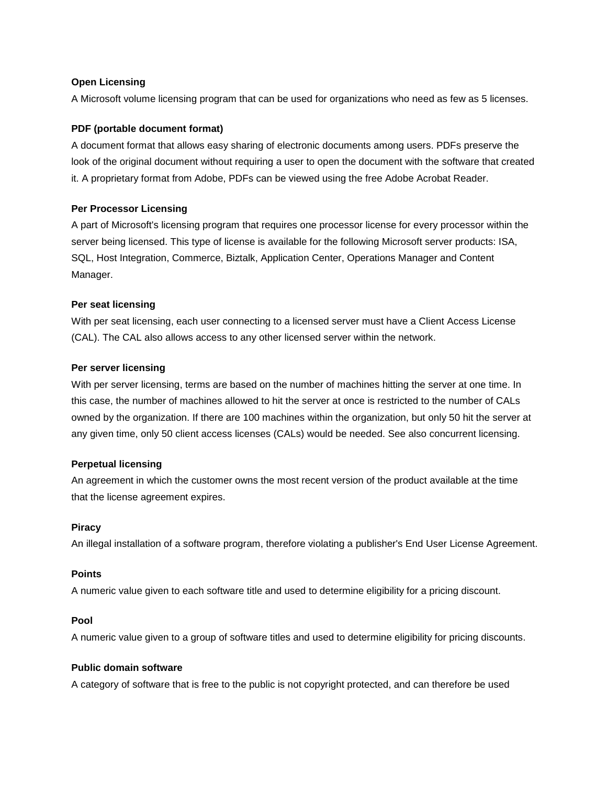## **Open Licensing**

A Microsoft volume licensing program that can be used for organizations who need as few as 5 licenses.

### **PDF (portable document format)**

A document format that allows easy sharing of electronic documents among users. PDFs preserve the look of the original document without requiring a user to open the document with the software that created it. A proprietary format from Adobe, PDFs can be viewed using the free Adobe Acrobat Reader.

### **Per Processor Licensing**

A part of Microsoft's licensing program that requires one processor license for every processor within the server being licensed. This type of license is available for the following Microsoft server products: ISA, SQL, Host Integration, Commerce, Biztalk, Application Center, Operations Manager and Content Manager.

### **Per seat licensing**

With per seat licensing, each user connecting to a licensed server must have a Client Access License (CAL). The CAL also allows access to any other licensed server within the network.

### **Per server licensing**

With per server licensing, terms are based on the number of machines hitting the server at one time. In this case, the number of machines allowed to hit the server at once is restricted to the number of CALs owned by the organization. If there are 100 machines within the organization, but only 50 hit the server at any given time, only 50 client access licenses (CALs) would be needed. See also concurrent licensing.

# **Perpetual licensing**

An agreement in which the customer owns the most recent version of the product available at the time that the license agreement expires.

#### **Piracy**

An illegal installation of a software program, therefore violating a publisher's End User License Agreement.

## **Points**

A numeric value given to each software title and used to determine eligibility for a pricing discount.

#### **Pool**

A numeric value given to a group of software titles and used to determine eligibility for pricing discounts.

# **Public domain software**

A category of software that is free to the public is not copyright protected, and can therefore be used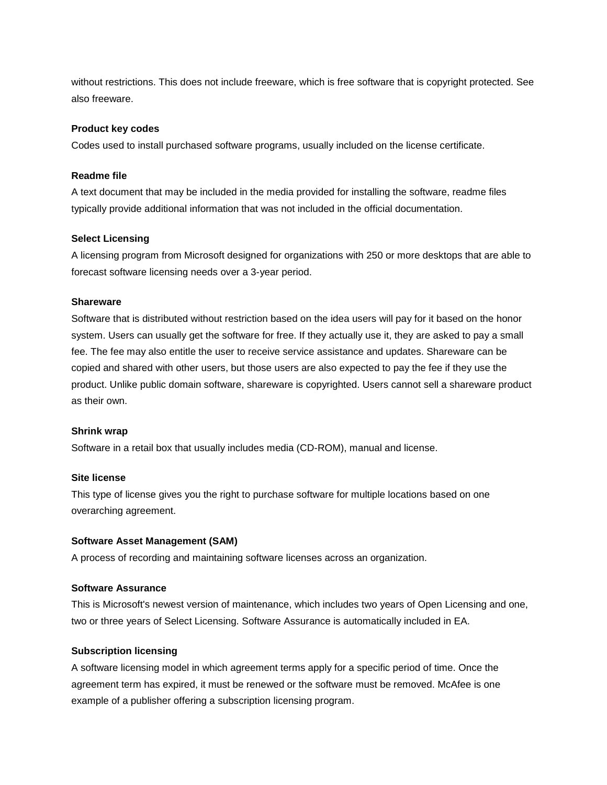without restrictions. This does not include freeware, which is free software that is copyright protected. See also freeware.

#### **Product key codes**

Codes used to install purchased software programs, usually included on the license certificate.

#### **Readme file**

A text document that may be included in the media provided for installing the software, readme files typically provide additional information that was not included in the official documentation.

### **Select Licensing**

A licensing program from Microsoft designed for organizations with 250 or more desktops that are able to forecast software licensing needs over a 3-year period.

### **Shareware**

Software that is distributed without restriction based on the idea users will pay for it based on the honor system. Users can usually get the software for free. If they actually use it, they are asked to pay a small fee. The fee may also entitle the user to receive service assistance and updates. Shareware can be copied and shared with other users, but those users are also expected to pay the fee if they use the product. Unlike public domain software, shareware is copyrighted. Users cannot sell a shareware product as their own.

# **Shrink wrap**

Software in a retail box that usually includes media (CD-ROM), manual and license.

#### **Site license**

This type of license gives you the right to purchase software for multiple locations based on one overarching agreement.

#### **Software Asset Management (SAM)**

A process of recording and maintaining software licenses across an organization.

# **Software Assurance**

This is Microsoft's newest version of maintenance, which includes two years of Open Licensing and one, two or three years of Select Licensing. Software Assurance is automatically included in EA.

# **Subscription licensing**

A software licensing model in which agreement terms apply for a specific period of time. Once the agreement term has expired, it must be renewed or the software must be removed. McAfee is one example of a publisher offering a subscription licensing program.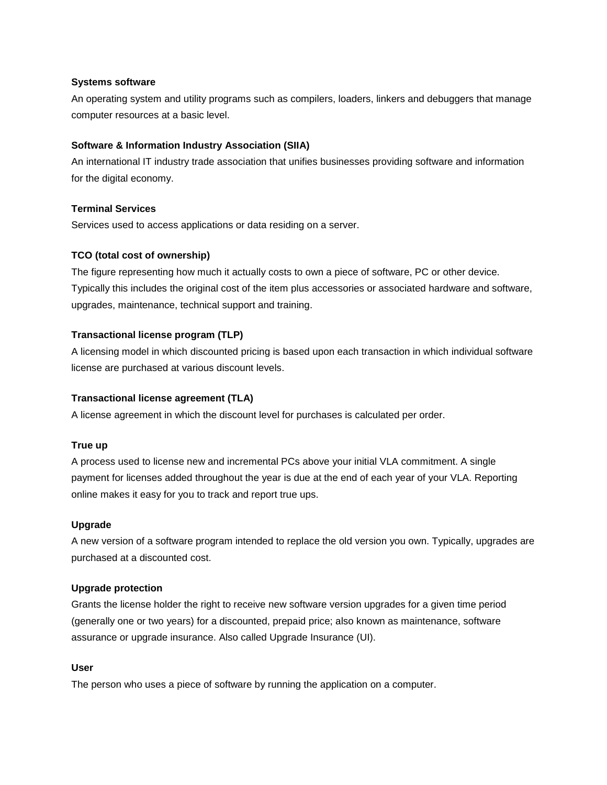### **Systems software**

An operating system and utility programs such as compilers, loaders, linkers and debuggers that manage computer resources at a basic level.

# **Software & Information Industry Association (SIIA)**

An international IT industry trade association that unifies businesses providing software and information for the digital economy.

# **Terminal Services**

Services used to access applications or data residing on a server.

# **TCO (total cost of ownership)**

The figure representing how much it actually costs to own a piece of software, PC or other device. Typically this includes the original cost of the item plus accessories or associated hardware and software, upgrades, maintenance, technical support and training.

# **Transactional license program (TLP)**

A licensing model in which discounted pricing is based upon each transaction in which individual software license are purchased at various discount levels.

# **Transactional license agreement (TLA)**

A license agreement in which the discount level for purchases is calculated per order.

# **True up**

A process used to license new and incremental PCs above your initial VLA commitment. A single payment for licenses added throughout the year is due at the end of each year of your VLA. Reporting online makes it easy for you to track and report true ups.

#### **Upgrade**

A new version of a software program intended to replace the old version you own. Typically, upgrades are purchased at a discounted cost.

#### **Upgrade protection**

Grants the license holder the right to receive new software version upgrades for a given time period (generally one or two years) for a discounted, prepaid price; also known as maintenance, software assurance or upgrade insurance. Also called Upgrade Insurance (UI).

#### **User**

The person who uses a piece of software by running the application on a computer.